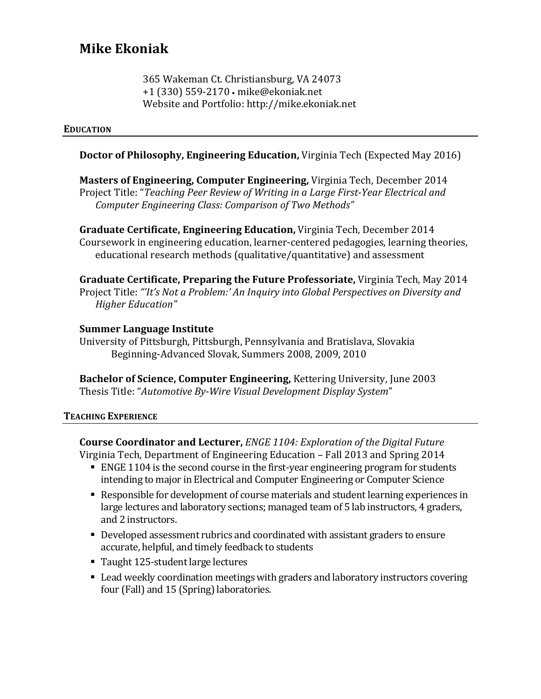# **Mike Ekoniak**

365 Wakeman Ct. Christiansburg, VA 24073 +1 (330) 559-2170 • mike@ekoniak.net Website and Portfolio: http://mike.ekoniak.net

#### **EDUCATION**

### **Doctor of Philosophy, Engineering Education, Virginia Tech (Expected May 2016)**

**Masters of Engineering, Computer Engineering, Virginia Tech, December 2014** Project Title: "Teaching Peer Review of Writing in a Large First-Year Electrical and *Computer Engineering Class: Comparison of Two Methods"*

**Graduate Certificate, Engineering Education, Virginia Tech, December 2014** Coursework in engineering education, learner-centered pedagogies, learning theories, educational research methods (qualitative/quantitative) and assessment

**Graduate Certificate, Preparing the Future Professoriate, Virginia Tech, May 2014** Project Title: "'It's Not a Problem:' An Inquiry into Global Perspectives on Diversity and *Higher Education"*

#### **Summer Language Institute**

University of Pittsburgh, Pittsburgh, Pennsylvania and Bratislava, Slovakia Beginning-Advanced Slovak, Summers 2008, 2009, 2010

**Bachelor of Science, Computer Engineering, Kettering University, June 2003** Thesis Title: "Automotive By-Wire Visual Development Display System"

#### **TEACHING EXPERIENCE**

**Course Coordinator and Lecturer,** *ENGE 1104: Exploration of the Digital Future* Virginia Tech, Department of Engineering Education – Fall 2013 and Spring 2014

- ENGE 1104 is the second course in the first-year engineering program for students intending to major in Electrical and Computer Engineering or Computer Science
- Responsible for development of course materials and student learning experiences in large lectures and laboratory sections; managed team of 5 lab instructors, 4 graders, and 2 instructors.
- Developed assessment rubrics and coordinated with assistant graders to ensure accurate, helpful, and timely feedback to students
- Taught 125-student large lectures
- Lead weekly coordination meetings with graders and laboratory instructors covering four (Fall) and 15 (Spring) laboratories.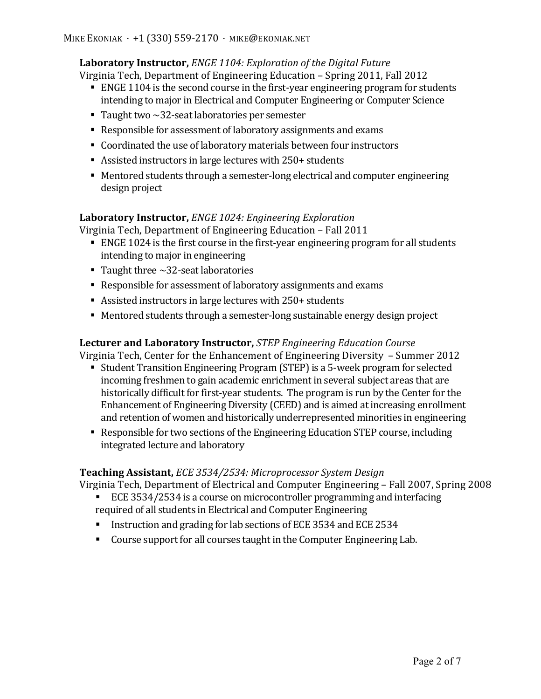# **Laboratory Instructor,** *ENGE 1104: Exploration of the Digital Future*

Virginia Tech, Department of Engineering Education – Spring 2011, Fall 2012

- ENGE 1104 is the second course in the first-year engineering program for students intending to major in Electrical and Computer Engineering or Computer Science
- Taught two  $\sim$ 32-seat laboratories per semester
- Responsible for assessment of laboratory assignments and exams
- Coordinated the use of laboratory materials between four instructors
- Assisted instructors in large lectures with  $250+$  students
- Mentored students through a semester-long electrical and computer engineering design project

### **Laboratory Instructor, ENGE 1024: Engineering Exploration**

Virginia Tech, Department of Engineering Education – Fall 2011

- ENGE 1024 is the first course in the first-year engineering program for all students intending to major in engineering
- Taught three  $\sim$  32-seat laboratories
- Responsible for assessment of laboratory assignments and exams
- Assisted instructors in large lectures with  $250+$  students
- Mentored students through a semester-long sustainable energy design project

### **Lecturer and Laboratory Instructor,** *STEP Engineering Education Course*

Virginia Tech, Center for the Enhancement of Engineering Diversity  $-$  Summer 2012

- Student Transition Engineering Program (STEP) is a 5-week program for selected incoming freshmen to gain academic enrichment in several subject areas that are historically difficult for first-year students. The program is run by the Center for the Enhancement of Engineering Diversity (CEED) and is aimed at increasing enrollment and retention of women and historically underrepresented minorities in engineering
- Responsible for two sections of the Engineering Education STEP course, including integrated lecture and laboratory

### **Teaching Assistant,** *ECE* 3534/2534: Microprocessor System Design

Virginia Tech, Department of Electrical and Computer Engineering – Fall 2007, Spring 2008

- ECE 3534/2534 is a course on microcontroller programming and interfacing required of all students in Electrical and Computer Engineering
- Instruction and grading for lab sections of ECE 3534 and ECE 2534
- Course support for all courses taught in the Computer Engineering Lab.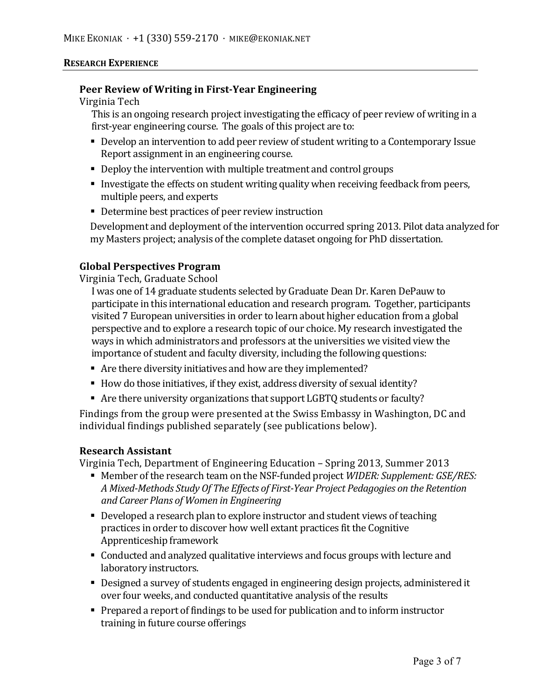#### **RESEARCH EXPERIENCE**

#### **Peer Review of Writing in First-Year Engineering**

Virginia Tech

This is an ongoing research project investigating the efficacy of peer review of writing in a first-year engineering course. The goals of this project are to:

- Develop an intervention to add peer review of student writing to a Contemporary Issue Report assignment in an engineering course.
- Deploy the intervention with multiple treatment and control groups
- Investigate the effects on student writing quality when receiving feedback from peers, multiple peers, and experts
- Determine best practices of peer review instruction

Development and deployment of the intervention occurred spring 2013. Pilot data analyzed for my Masters project; analysis of the complete dataset ongoing for PhD dissertation.

### **Global Perspectives Program**

Virginia Tech, Graduate School

I was one of 14 graduate students selected by Graduate Dean Dr. Karen DePauw to participate in this international education and research program. Together, participants visited 7 European universities in order to learn about higher education from a global perspective and to explore a research topic of our choice. My research investigated the ways in which administrators and professors at the universities we visited view the importance of student and faculty diversity, including the following questions:

- Are there diversity initiatives and how are they implemented?
- How do those initiatives, if they exist, address diversity of sexual identity?
- Are there university organizations that support LGBTO students or faculty?

Findings from the group were presented at the Swiss Embassy in Washington, DC and individual findings published separately (see publications below).

#### **Research Assistant**

Virginia Tech, Department of Engineering Education – Spring 2013, Summer 2013

- Member of the research team on the NSF-funded project *WIDER: Supplement: GSE/RES:* A Mixed-Methods Study Of The Effects of First-Year Project Pedagogies on the Retention *and Career Plans of Women in Engineering*
- Developed a research plan to explore instructor and student views of teaching practices in order to discover how well extant practices fit the Cognitive Apprenticeship framework
- Conducted and analyzed qualitative interviews and focus groups with lecture and laboratory instructors.
- Designed a survey of students engaged in engineering design projects, administered it over four weeks, and conducted quantitative analysis of the results
- Prepared a report of findings to be used for publication and to inform instructor training in future course offerings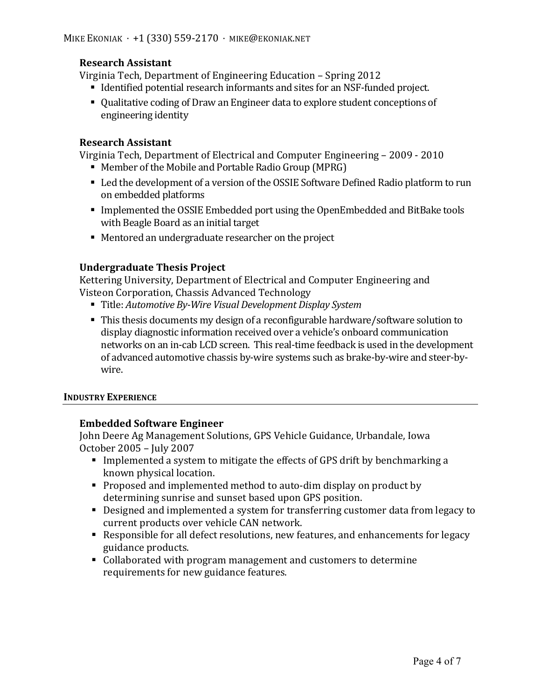## **Research Assistant**

Virginia Tech, Department of Engineering Education – Spring 2012

- Identified potential research informants and sites for an NSF-funded project.
- Oualitative coding of Draw an Engineer data to explore student conceptions of engineering identity

### **Research Assistant**

Virginia Tech, Department of Electrical and Computer Engineering – 2009 - 2010

- Member of the Mobile and Portable Radio Group (MPRG)
- Led the development of a version of the OSSIE Software Defined Radio platform to run on embedded platforms
- Implemented the OSSIE Embedded port using the OpenEmbedded and BitBake tools with Beagle Board as an initial target
- $\blacksquare$  Mentored an undergraduate researcher on the project

## **Undergraduate Thesis Project**

Kettering University, Department of Electrical and Computer Engineering and Visteon Corporation, Chassis Advanced Technology

- Title: Automotive By-Wire Visual Development Display System
- This thesis documents my design of a reconfigurable hardware/software solution to display diagnostic information received over a vehicle's onboard communication networks on an in-cab LCD screen. This real-time feedback is used in the development of advanced automotive chassis by-wire systems such as brake-by-wire and steer-bywire.

#### **INDUSTRY EXPERIENCE**

### **Embedded Software Engineer**

John Deere Ag Management Solutions, GPS Vehicle Guidance, Urbandale, Iowa October 2005 – July 2007

- **•** Implemented a system to mitigate the effects of GPS drift by benchmarking a known physical location.
- Proposed and implemented method to auto-dim display on product by determining sunrise and sunset based upon GPS position.
- Designed and implemented a system for transferring customer data from legacy to current products over vehicle CAN network.
- Responsible for all defect resolutions, new features, and enhancements for legacy guidance products.
- Collaborated with program management and customers to determine requirements for new guidance features.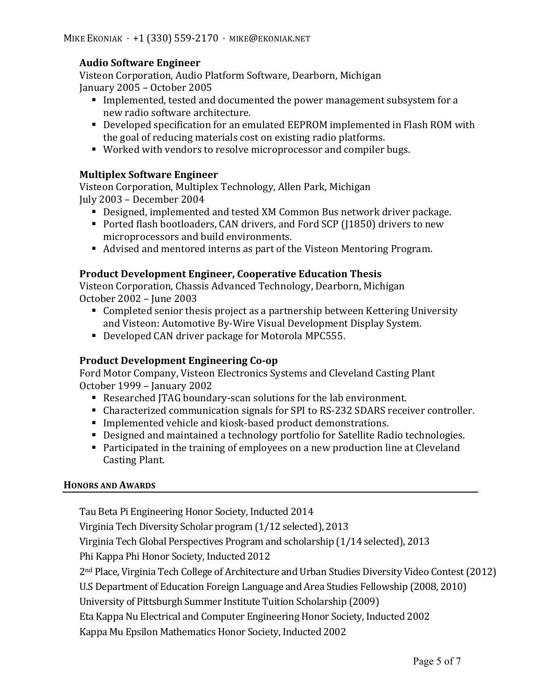## **Audio Software Engineer**

Visteon Corporation, Audio Platform Software, Dearborn, Michigan January 2005 - October 2005

- Implemented, tested and documented the power management subsystem for a new radio software architecture.
- Developed specification for an emulated EEPROM implemented in Flash ROM with the goal of reducing materials cost on existing radio platforms.
- Worked with vendors to resolve microprocessor and compiler bugs.

### **Multiplex Software Engineer**

Visteon Corporation, Multiplex Technology, Allen Park, Michigan July 2003 - December 2004

- Designed, implemented and tested XM Common Bus network driver package.
- Ported flash bootloaders, CAN drivers, and Ford SCP (11850) drivers to new microprocessors and build environments.
- Advised and mentored interns as part of the Visteon Mentoring Program.

### **Product Development Engineer, Cooperative Education Thesis**

Visteon Corporation, Chassis Advanced Technology, Dearborn, Michigan October 2002 – June 2003

- Completed senior thesis project as a partnership between Kettering University and Visteon: Automotive By-Wire Visual Development Display System.
- Developed CAN driver package for Motorola MPC555.

# **Product Development Engineering Co-op**

Ford Motor Company, Visteon Electronics Systems and Cleveland Casting Plant October 1999 – January 2002

- Researched JTAG boundary-scan solutions for the lab environment.
- Characterized communication signals for SPI to RS-232 SDARS receiver controller.
- Implemented vehicle and kiosk-based product demonstrations.
- Designed and maintained a technology portfolio for Satellite Radio technologies.
- Example 1 Participated in the training of employees on a new production line at Cleveland Casting Plant.

### **HONORS AND AWARDS**

Tau Beta Pi Engineering Honor Society, Inducted 2014

Virginia Tech Diversity Scholar program (1/12 selected), 2013

Virginia Tech Global Perspectives Program and scholarship (1/14 selected), 2013

Phi Kappa Phi Honor Society, Inducted 2012

2<sup>nd</sup> Place, Virginia Tech College of Architecture and Urban Studies Diversity Video Contest (2012)

U.S Department of Education Foreign Language and Area Studies Fellowship (2008, 2010)

University of Pittsburgh Summer Institute Tuition Scholarship (2009)

Eta Kappa Nu Electrical and Computer Engineering Honor Society, Inducted 2002

Kappa Mu Epsilon Mathematics Honor Society, Inducted 2002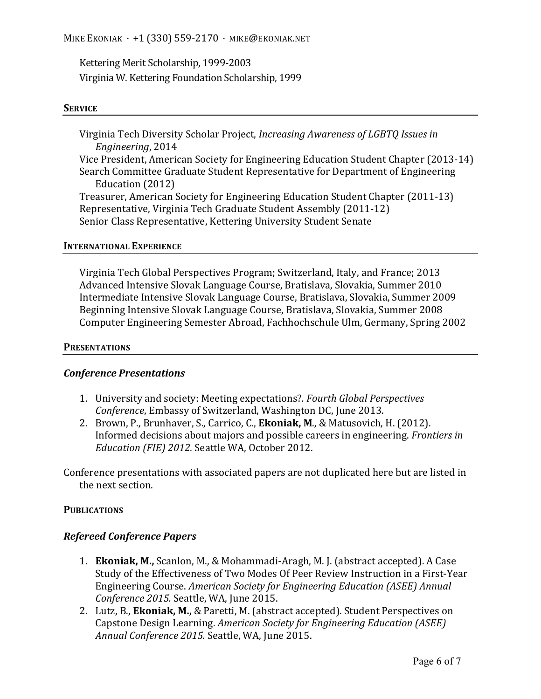MIKE EKONIAK  $\cdot$  +1 (330) 559-2170  $\cdot$  MIKE@EKONIAK.NET

Kettering Merit Scholarship, 1999-2003 Virginia W. Kettering Foundation Scholarship, 1999

#### **SERVICE**

Virginia Tech Diversity Scholar Project, *Increasing Awareness of LGBTO Issues in Engineering*, 2014 Vice President, American Society for Engineering Education Student Chapter (2013-14) Search Committee Graduate Student Representative for Department of Engineering Education (2012) Treasurer, American Society for Engineering Education Student Chapter (2011-13) Representative, Virginia Tech Graduate Student Assembly (2011-12) Senior Class Representative, Kettering University Student Senate

#### **INTERNATIONAL EXPERIENCE**

Virginia Tech Global Perspectives Program; Switzerland, Italy, and France; 2013 Advanced Intensive Slovak Language Course, Bratislava, Slovakia, Summer 2010 Intermediate Intensive Slovak Language Course, Bratislava, Slovakia, Summer 2009 Beginning Intensive Slovak Language Course, Bratislava, Slovakia, Summer 2008 Computer Engineering Semester Abroad, Fachhochschule Ulm, Germany, Spring 2002

#### **PRESENTATIONS**

#### *Conference Presentations*

- 1. University and society: Meeting expectations?. Fourth *Global Perspectives Conference*, Embassy of Switzerland, Washington DC, June 2013.
- 2. Brown, P., Brunhaver, S., Carrico, C., **Ekoniak, M.**, & Matusovich, H. (2012). Informed decisions about majors and possible careers in engineering. *Frontiers in Education (FIE) 2012.* Seattle WA, October 2012.

Conference presentations with associated papers are not duplicated here but are listed in the next section.

#### **PUBLICATIONS**

#### *Refereed Conference Papers*

- 1. **Ekoniak, M.,** Scanlon, M., & Mohammadi-Aragh, M. J. (abstract accepted). A Case Study of the Effectiveness of Two Modes Of Peer Review Instruction in a First-Year Engineering Course. *American Society for Engineering Education (ASEE) Annual Conference 2015.* Seattle, WA, June 2015.
- 2. Lutz, B., **Ekoniak, M.,** & Paretti, M. (abstract accepted). Student Perspectives on Capstone Design Learning. *American Society for Engineering Education (ASEE)* Annual Conference 2015. Seattle, WA, June 2015.